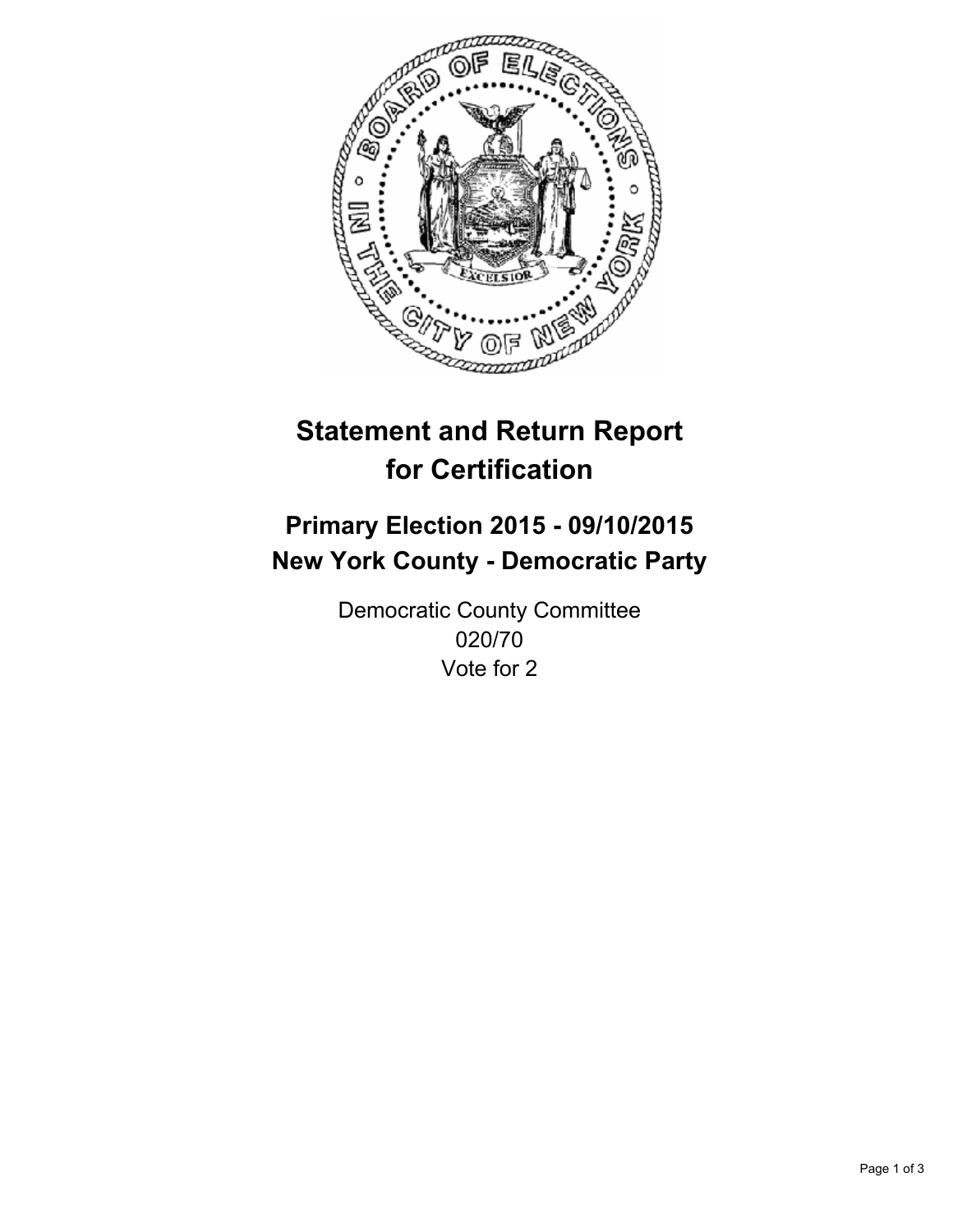

# **Statement and Return Report for Certification**

## **Primary Election 2015 - 09/10/2015 New York County - Democratic Party**

Democratic County Committee 020/70 Vote for 2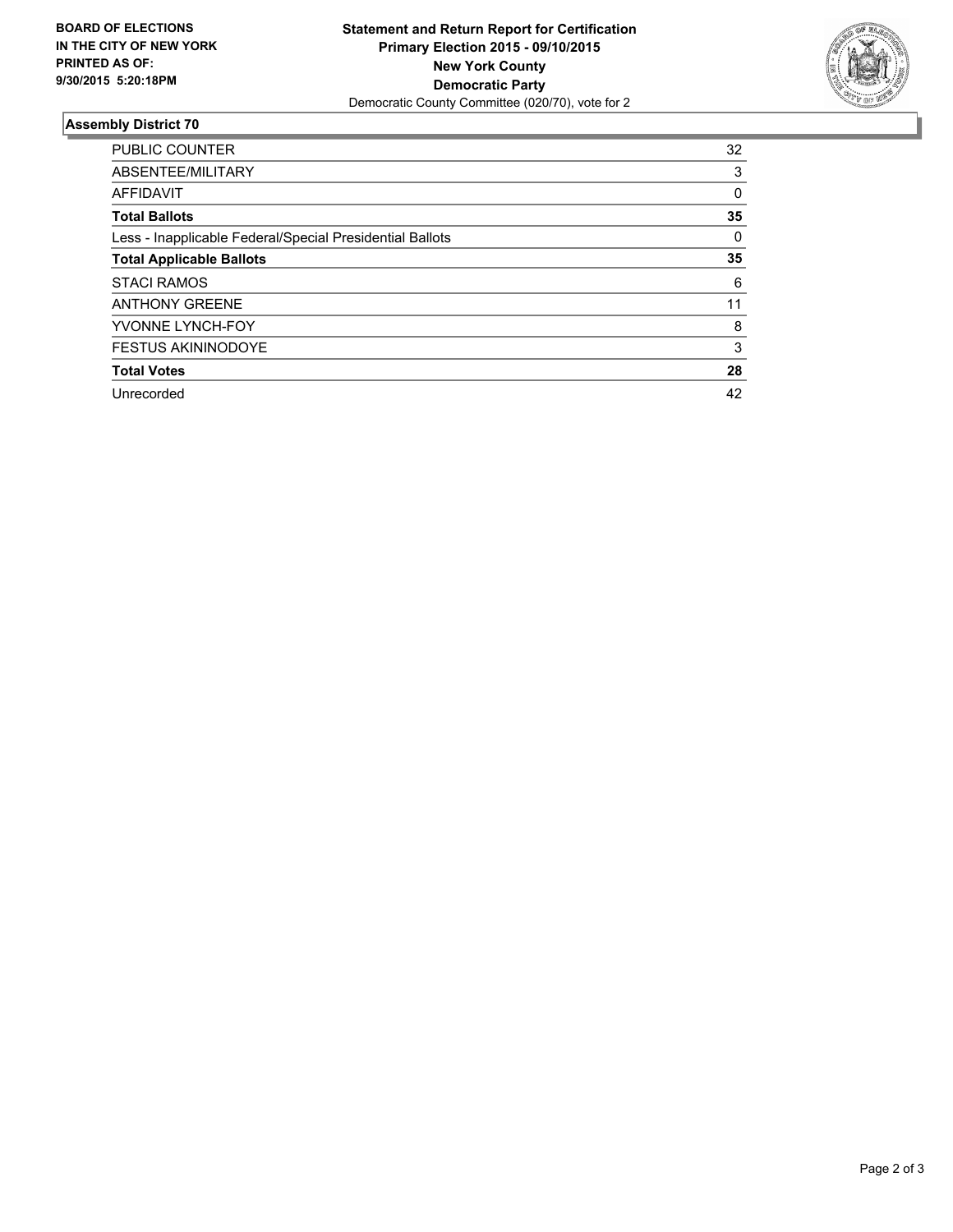

#### **Assembly District 70**

| <b>PUBLIC COUNTER</b>                                    | 32 |
|----------------------------------------------------------|----|
| ABSENTEE/MILITARY                                        | 3  |
| AFFIDAVIT                                                | 0  |
| <b>Total Ballots</b>                                     | 35 |
| Less - Inapplicable Federal/Special Presidential Ballots | 0  |
| <b>Total Applicable Ballots</b>                          | 35 |
| <b>STACI RAMOS</b>                                       | 6  |
| <b>ANTHONY GREENE</b>                                    | 11 |
| YVONNE LYNCH-FOY                                         | 8  |
| <b>FESTUS AKININODOYE</b>                                | 3  |
| <b>Total Votes</b>                                       | 28 |
| Unrecorded                                               | 42 |